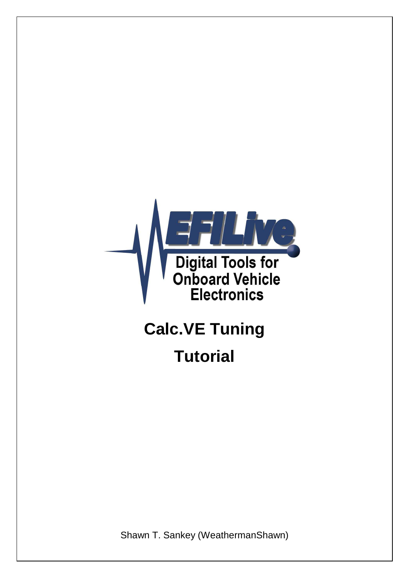

# **Calc.VE Tuning Tutorial**

Shawn T. Sankey (WeathermanShawn)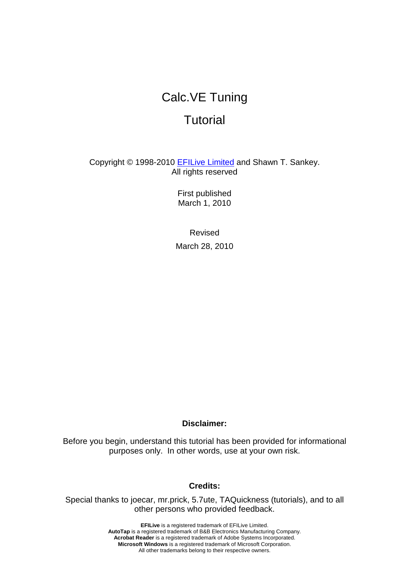## Calc.VE Tuning

## **Tutorial**

Copyright © 1998-2010 EFILive Limited and Shawn T. Sankey. All rights reserved

> First published March 1, 2010

Revised March 28, 2010

### **Disclaimer:**

Before you begin, understand this tutorial has been provided for informational purposes only. In other words, use at your own risk.

### **Credits:**

Special thanks to joecar, mr.prick, 5.7ute, TAQuickness (tutorials), and to all other persons who provided feedback.

> **EFILive** is a registered trademark of EFILive Limited. **AutoTap** is a registered trademark of B&B Electronics Manufacturing Company. **Acrobat Reader** is a registered trademark of Adobe Systems Incorporated. **Microsoft Windows** is a registered trademark of Microsoft Corporation. All other trademarks belong to their respective owners.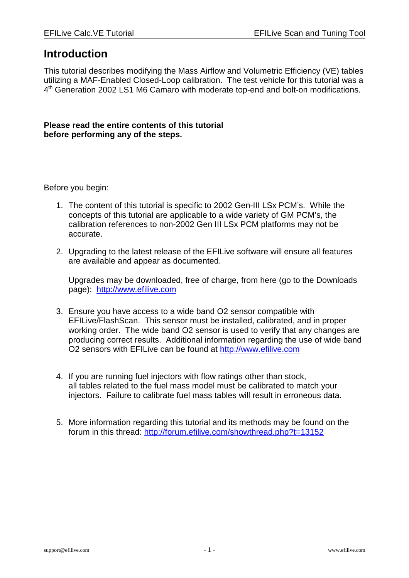### **Introduction**

This tutorial describes modifying the Mass Airflow and Volumetric Efficiency (VE) tables utilizing a MAF-Enabled Closed-Loop calibration. The test vehicle for this tutorial was a 4<sup>th</sup> Generation 2002 LS1 M6 Camaro with moderate top-end and bolt-on modifications.

### **Please read the entire contents of this tutorial before performing any of the steps.**

Before you begin:

- 1. The content of this tutorial is specific to 2002 Gen-III LSx PCM's. While the concepts of this tutorial are applicable to a wide variety of GM PCM's, the calibration references to non-2002 Gen III LSx PCM platforms may not be accurate.
- 2. Upgrading to the latest release of the EFILive software will ensure all features are available and appear as documented.

Upgrades may be downloaded, free of charge, from here (go to the Downloads page): http://www.efilive.com

- 3. Ensure you have access to a wide band O2 sensor compatible with EFILive/FlashScan. This sensor must be installed, calibrated, and in proper working order. The wide band O2 sensor is used to verify that any changes are producing correct results. Additional information regarding the use of wide band O2 sensors with EFILive can be found at http://www.efilive.com
- 4. If you are running fuel injectors with flow ratings other than stock, all tables related to the fuel mass model must be calibrated to match your injectors. Failure to calibrate fuel mass tables will result in erroneous data.
- 5. More information regarding this tutorial and its methods may be found on the forum in this thread: http://forum.efilive.com/showthread.php?t=13152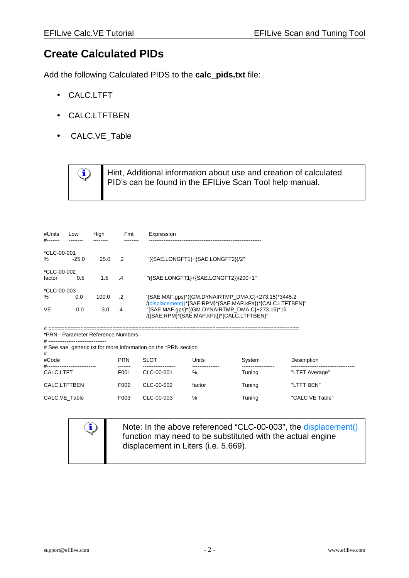### **Create Calculated PIDs**

Add the following Calculated PIDS to the **calc\_pids.txt** file:

- CALC.LTFT
- CALC.LTFTBEN
- CALC.VE\_Table



| #Units<br>#-------    | Low     | High  | Fmt        | Expression                                                                                                                                                |
|-----------------------|---------|-------|------------|-----------------------------------------------------------------------------------------------------------------------------------------------------------|
| *CLC-00-001<br>%      | $-25.0$ | 25.0  | $\cdot$ .2 | "({SAE.LONGFT1}+{SAE.LONGFT2})/2"                                                                                                                         |
| *CLC-00-002<br>factor | 0.5     | 1.5   | $\cdot$ 4  | "({SAE.LONGFT1}+{SAE.LONGFT2})/200+1"                                                                                                                     |
| *CLC-00-003           |         |       |            |                                                                                                                                                           |
| $\%$                  | 0.0     | 100.0 | $\cdot$ .2 | "{SAE.MAF.gps}*({GM.DYNAIRTMP_DMA.C}+273.15)*3445.2                                                                                                       |
| <b>VE</b>             | 0.0     | 3.0   | .4         | "(displacement()*{SAE.RPM}*{SAE.MAP.kPa})*{CALC.LTFTBEN}<br>"{SAE.MAF.gps}*({GM.DYNAIRTMP_DMA.C}+273.15)*15<br>/({SAE.RPM}*{SAE.MAP.kPa})*{CALC.LTFTBEN}" |

# ============================================================================== \*PRN - Parameter Reference Numbers

 $\mathbf{\mathbb{Q}}$ 

# --------------------------------

# See sae\_generic.txt for more information on the \*PRN section

| #<br>#Code<br>$#-----$ | <b>PRN</b>        | <b>SLOT</b> | Units  | System | Description     |
|------------------------|-------------------|-------------|--------|--------|-----------------|
| CALC.LTFT              | F <sub>001</sub>  | CLC-00-001  | %      | Tuning | "LTFT Average"  |
| CALC.LTFTBEN           | F <sub>0</sub> 02 | CLC-00-002  | factor | Tuning | "LTFT BEN"      |
| CALC.VE Table          | F <sub>003</sub>  | CLC-00-003  | %      | Tuning | "CALC VE Table" |

Note: In the above referenced "CLC-00-003", the displacement() function may need to be substituted with the actual engine displacement in Liters (i.e. 5.669).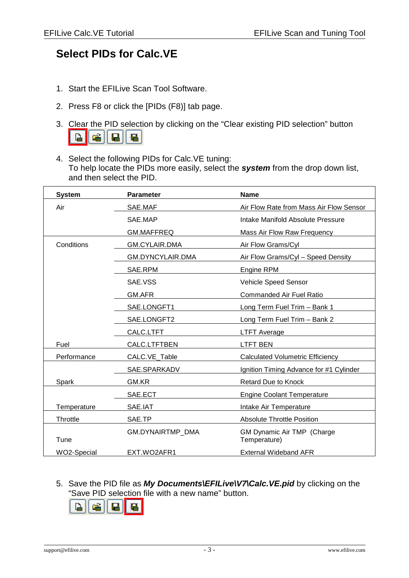### **Select PIDs for Calc.VE**

- 1. Start the EFILive Scan Tool Software.
- 2. Press F8 or click the [PIDs (F8)] tab page.
- 3. Clear the PID selection by clicking on the "Clear existing PID selection" button  $\begin{array}{c} \hline \end{array}$ 靍 口 匾
- 4. Select the following PIDs for Calc.VE tuning: To help locate the PIDs more easily, select the **system** from the drop down list, and then select the PID.

| <b>System</b> | <b>Parameter</b>        | <b>Name</b>                                |
|---------------|-------------------------|--------------------------------------------|
| Air           | SAE.MAF                 | Air Flow Rate from Mass Air Flow Sensor    |
|               | SAE.MAP                 | Intake Manifold Absolute Pressure          |
|               | <b>GM.MAFFREQ</b>       | Mass Air Flow Raw Frequency                |
| Conditions    | <b>GM.CYLAIR.DMA</b>    | Air Flow Grams/Cyl                         |
|               | GM.DYNCYLAIR.DMA        | Air Flow Grams/Cyl - Speed Density         |
|               | SAE.RPM                 | <b>Engine RPM</b>                          |
|               | SAE.VSS                 | Vehicle Speed Sensor                       |
|               | GM.AFR                  | Commanded Air Fuel Ratio                   |
|               | SAE.LONGFT1             | Long Term Fuel Trim - Bank 1               |
|               | SAE.LONGFT2             | Long Term Fuel Trim - Bank 2               |
|               | CALC.LTFT               | <b>LTFT Average</b>                        |
| Fuel          | CALC.LTFTBEN            | <b>LTFT BEN</b>                            |
| Performance   | CALC.VE_Table           | <b>Calculated Volumetric Efficiency</b>    |
|               | SAE.SPARKADV            | Ignition Timing Advance for #1 Cylinder    |
| Spark         | GM.KR                   | <b>Retard Due to Knock</b>                 |
|               | SAE.ECT                 | <b>Engine Coolant Temperature</b>          |
| Temperature   | SAE.IAT                 | Intake Air Temperature                     |
| Throttle      | SAE.TP                  | <b>Absolute Throttle Position</b>          |
| Tune          | <b>GM.DYNAIRTMP DMA</b> | GM Dynamic Air TMP (Charge<br>Temperature) |
| WO2-Special   | EXT.WO2AFR1             | <b>External Wideband AFR</b>               |

5. Save the PID file as **My Documents\EFILive\V7\Calc.VE.pid** by clicking on the "Save PID selection file with a new name" button.



support@efilive.com  $-3$  - www.efilive.com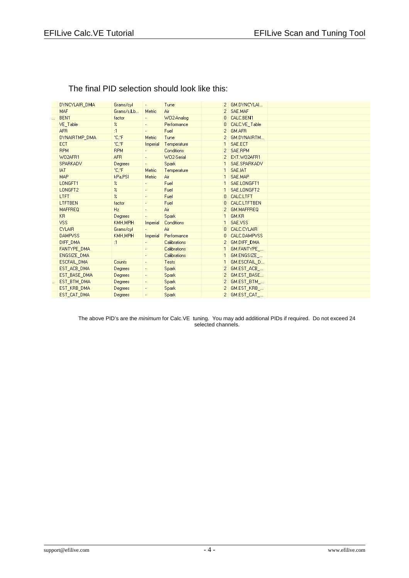| DYNCYLAIR DMA  | Grams/cyl                  | $\blacksquare$           | Tune              |                | GM.DYNCYLAI        |  |
|----------------|----------------------------|--------------------------|-------------------|----------------|--------------------|--|
| <b>MAF</b>     | Grams/s.Lb                 | Metric                   | Air               | 2 <sup>1</sup> | SAE.MAF            |  |
| BEN1           | factor                     |                          | W02-Analog        | 0              | CALC.BEN1          |  |
| VE_Table       | $\%$                       | ÷.                       | Performance       | 0              | CALC.VE Table      |  |
| <b>AFR</b>     | :1                         | ÷.                       | Fuel              | 2              | GM.AFR             |  |
| DYNAIRTMP DMA  | *C.*F                      | Metric                   | Tune              | $\overline{2}$ | GM.DYNAIRTM        |  |
| ECT            | °C,°F                      | Imperial                 | Temperature       | $\mathbf{1}$   | SAE.ECT            |  |
| <b>RPM</b>     | <b>RPM</b>                 |                          | <b>Conditions</b> | 2              | SAE.RPM            |  |
| W02AFR1        | <b>AFR</b>                 | $\sim$                   | W02-Serial        | 2              | EXT.W02AFR1        |  |
| SPARKADV       | Degrees                    | $\sim$                   | <b>Spark</b>      | $\mathbf{1}$   | SAE.SPARKADV       |  |
| <b>IAT</b>     | °C.°F                      | Metric                   | Temperature       | 1              | SAE.IAT            |  |
| <b>MAP</b>     | kPa,PSI                    | Metric                   | Air               | 1              | SAE.MAP            |  |
| LONGFT1        | $\boldsymbol{\mathcal{Z}}$ | $\sim$                   | Fuel              | 1              | SAE.LONGFT1        |  |
| LONGFT2        | $\boldsymbol{\mathcal{Z}}$ | ÷.                       | Fuel              | 1              | SAE.LONGFT2        |  |
| <b>LTFT</b>    | $\%$                       | $\blacksquare$           | Fuel              | 0              | CALC.LTFT          |  |
| <b>LTFTBEN</b> | factor                     | $\sim$                   | Fuel              | 0              | CALC.LTFTBEN       |  |
| <b>MAFFREQ</b> | Hz                         |                          | Air               | 2              | GM.MAFFREQ         |  |
| K <sub>R</sub> | Degrees                    | $\sim$                   | Spark             | 1              | GM.KR              |  |
| <b>VSS</b>     | KMH, MPH                   | Imperial                 | Conditions        | 1              | SAE.VSS            |  |
| <b>CYLAIR</b>  | Grams/cyl                  | $\sim$                   | Air               | 0              | CALC.CYLAIR        |  |
| <b>DAMPVSS</b> | KMH.MPH                    | Imperial                 | Performance       | 0              | CALC.DAMPVSS       |  |
| DIFF DMA       | :1                         | $\blacksquare$           | Calibrations      | $\overline{c}$ | <b>GM.DIFF DMA</b> |  |
| FANTYPE DMA    |                            | $\overline{\phantom{a}}$ | Calibrations      | $\mathbf{1}$   | GM.FANTYPE         |  |
| ENGSIZE_DMA    |                            |                          | Calibrations      | 1              | GM.ENGSIZE         |  |
| ESCFAIL_DMA    | Counts                     | $\sim$                   | Tests             | $\mathbf{1}$   | GM.ESCFAIL_D       |  |
| EST ACB DMA    | Degrees                    |                          | Spark             | 2              | GM.EST ACB         |  |
| EST_BASE_DMA   | Degrees                    | $\blacksquare$           | Spark             | 2              | GM.EST_BASE        |  |
| EST BTM DMA    | Degrees                    | $\blacksquare$           | Spark             | 2              | GM.EST BTM         |  |
| EST KRB DMA    | Degrees                    | $\blacksquare$           | Spark             | 2              | GM.EST_KRB_        |  |
| EST_CAT_DMA    | Degrees                    | ٠                        | Spark             |                | $2$ GM.EST_CAT_    |  |
|                |                            |                          |                   |                |                    |  |

### The final PID selection should look like this:

The above PID's are the *minimum* for Calc.VE tuning. You may add additional PIDs if required. Do not exceed 24 selected channels.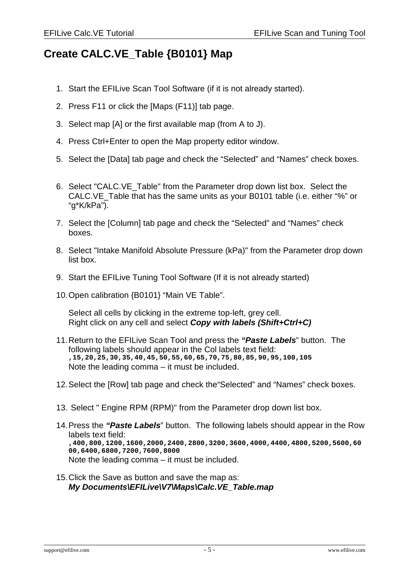### **Create CALC.VE\_Table {B0101} Map**

- 1. Start the EFILive Scan Tool Software (if it is not already started).
- 2. Press F11 or click the [Maps (F11)] tab page.
- 3. Select map [A] or the first available map (from A to J).
- 4. Press Ctrl+Enter to open the Map property editor window.
- 5. Select the [Data] tab page and check the "Selected" and "Names" check boxes.
- 6. Select "CALC.VE\_Table" from the Parameter drop down list box. Select the CALC.VE\_Table that has the same units as your B0101 table (i.e. either "%" or "g\*K/kPa").
- 7. Select the [Column] tab page and check the "Selected" and "Names" check boxes.
- 8. Select "Intake Manifold Absolute Pressure (kPa)" from the Parameter drop down list box.
- 9. Start the EFILive Tuning Tool Software (If it is not already started)
- 10.Open calibration {B0101} "Main VE Table".

Select all cells by clicking in the extreme top-left, grey cell. Right click on any cell and select **Copy with labels (Shift+Ctrl+C)**

- 11.Return to the EFILive Scan Tool and press the **"Paste Labels**" button. The following labels should appear in the Col labels text field: **,15,20,25,30,35,40,45,50,55,60,65,70,75,80,85,90,95,100,105** Note the leading comma – it must be included.
- 12.Select the [Row] tab page and check the"Selected" and "Names" check boxes.
- 13. Select " Engine RPM (RPM)" from the Parameter drop down list box.
- 14.Press the **"Paste Labels**" button. The following labels should appear in the Row labels text field: **,400,800,1200,1600,2000,2400,2800,3200,3600,4000,4400,4800,5200,5600,60 00,6400,6800,7200,7600,8000** Note the leading comma – it must be included.
- 15.Click the Save as button and save the map as: **My Documents\EFILive\V7\Maps\Calc.VE\_Table.map**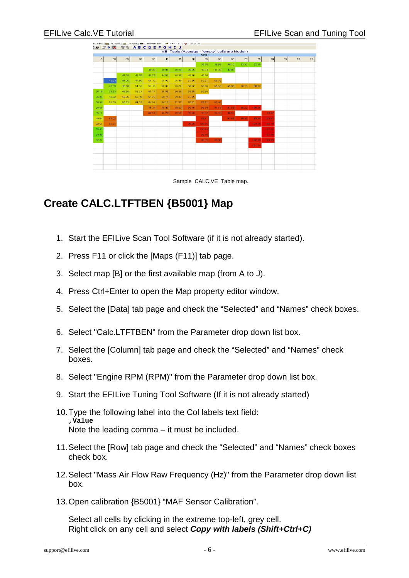

#### Sample CALC.VE Table map.

### **Create CALC.LTFTBEN {B5001} Map**

- 1. Start the EFILive Scan Tool Software (if it is not already started).
- 2. Press F11 or click the [Maps (F11)] tab page.
- 3. Select map [B] or the first available map (from A to J).
- 4. Press Ctrl+Enter to open the Map property editor window.
- 5. Select the [Data] tab page and check the "Selected" and "Names" check boxes.
- 6. Select "Calc.LTFTBEN" from the Parameter drop down list box.
- 7. Select the [Column] tab page and check the "Selected" and "Names" check boxes.
- 8. Select "Engine RPM (RPM)" from the Parameter drop down list box.
- 9. Start the EFILive Tuning Tool Software (If it is not already started)
- 10.Type the following label into the Col labels text field: **,Value** Note the leading comma – it must be included.
- 11.Select the [Row] tab page and check the "Selected" and "Names" check boxes check box.
- 12.Select "Mass Air Flow Raw Frequency (Hz)" from the Parameter drop down list box.
- 13.Open calibration {B5001} "MAF Sensor Calibration".

Select all cells by clicking in the extreme top-left, grey cell. Right click on any cell and select **Copy with labels (Shift+Ctrl+C)**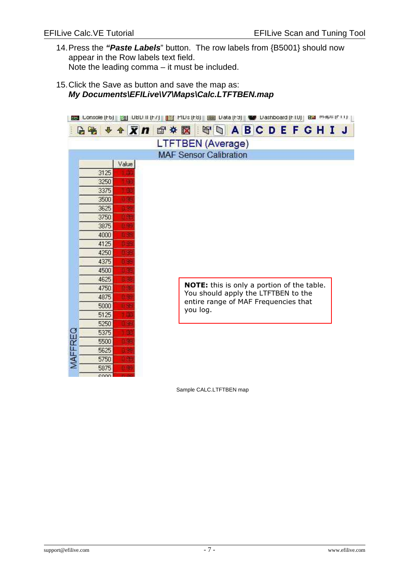- 14.Press the **"Paste Labels**" button. The row labels from {B5001} should now appear in the Row labels text field. Note the leading comma – it must be included.
- 15.Click the Save as button and save the map as: **My Documents\EFILive\V7\Maps\Calc.LTFTBEN.map**

| 图 Lonsole (Fb)   <mark>Vel</mark> UBD II (F7)   <mark>[11]</mark> PIDs (F8)   [23] Data (F9)   電/ Dashboard (F1U)   BB I Moles (F11) |       |                                       |                                                   |  |  |  |  |  |  |
|--------------------------------------------------------------------------------------------------------------------------------------|-------|---------------------------------------|---------------------------------------------------|--|--|--|--|--|--|
|                                                                                                                                      |       | BB ◆◆ ズロ 音※図 【◎ △ A B C D E F G H I J |                                                   |  |  |  |  |  |  |
|                                                                                                                                      |       | <b>LTFTBEN</b> (Average)              |                                                   |  |  |  |  |  |  |
|                                                                                                                                      |       | <b>MAF Sensor Calibration</b>         |                                                   |  |  |  |  |  |  |
|                                                                                                                                      | Value |                                       |                                                   |  |  |  |  |  |  |
| 3125                                                                                                                                 |       |                                       |                                                   |  |  |  |  |  |  |
| 3250                                                                                                                                 | 哪     |                                       |                                                   |  |  |  |  |  |  |
| 3375                                                                                                                                 | pp.   |                                       |                                                   |  |  |  |  |  |  |
| 3500                                                                                                                                 | 48    |                                       |                                                   |  |  |  |  |  |  |
| 3625                                                                                                                                 | 9e    |                                       |                                                   |  |  |  |  |  |  |
| 3750                                                                                                                                 | 驰     |                                       |                                                   |  |  |  |  |  |  |
| 3875                                                                                                                                 |       |                                       |                                                   |  |  |  |  |  |  |
| 4000                                                                                                                                 |       |                                       |                                                   |  |  |  |  |  |  |
| 4125                                                                                                                                 |       |                                       |                                                   |  |  |  |  |  |  |
| 4250                                                                                                                                 |       |                                       |                                                   |  |  |  |  |  |  |
| 4375                                                                                                                                 |       |                                       |                                                   |  |  |  |  |  |  |
| 4500                                                                                                                                 |       |                                       |                                                   |  |  |  |  |  |  |
| 4625                                                                                                                                 |       |                                       |                                                   |  |  |  |  |  |  |
| 4750                                                                                                                                 |       |                                       | <b>NOTE:</b> this is only a portion of the table. |  |  |  |  |  |  |
| 4875                                                                                                                                 |       |                                       | You should apply the LTFTBEN to the               |  |  |  |  |  |  |
| 5000                                                                                                                                 |       |                                       | entire range of MAF Frequencies that              |  |  |  |  |  |  |
| 5125                                                                                                                                 |       |                                       | you log.                                          |  |  |  |  |  |  |
| 5250                                                                                                                                 |       |                                       |                                                   |  |  |  |  |  |  |
| 5375                                                                                                                                 | u.    |                                       |                                                   |  |  |  |  |  |  |
| 5500                                                                                                                                 | 48    |                                       |                                                   |  |  |  |  |  |  |
| MAFFREQ<br>5625                                                                                                                      | ä.    |                                       |                                                   |  |  |  |  |  |  |
| 5750                                                                                                                                 | 96    |                                       |                                                   |  |  |  |  |  |  |
| 5875                                                                                                                                 | 96    |                                       |                                                   |  |  |  |  |  |  |
| coon:                                                                                                                                |       |                                       |                                                   |  |  |  |  |  |  |

Sample CALC.LTFTBEN map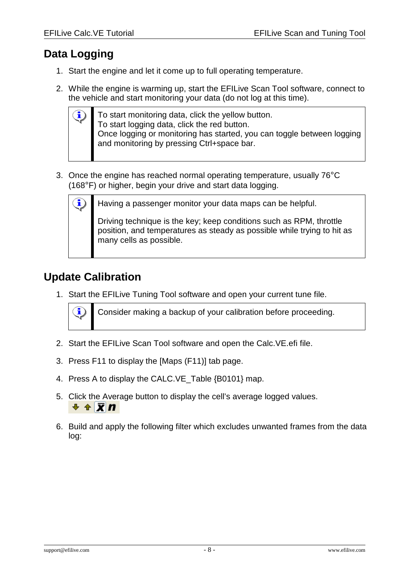### **Data Logging**

ĩ,

- 1. Start the engine and let it come up to full operating temperature.
- 2. While the engine is warming up, start the EFILive Scan Tool software, connect to the vehicle and start monitoring your data (do not log at this time).

To start monitoring data, click the yellow button. To start logging data, click the red button. Once logging or monitoring has started, you can toggle between logging and monitoring by pressing Ctrl+space bar.

3. Once the engine has reached normal operating temperature, usually 76°C (168°F) or higher, begin your drive and start data logging.



Having a passenger monitor your data maps can be helpful.

Driving technique is the key; keep conditions such as RPM, throttle position, and temperatures as steady as possible while trying to hit as many cells as possible.

## **Update Calibration**

1. Start the EFILive Tuning Tool software and open your current tune file.



Consider making a backup of your calibration before proceeding.

- 2. Start the EFILive Scan Tool software and open the Calc.VE.efi file.
- 3. Press F11 to display the [Maps (F11)] tab page.
- 4. Press A to display the CALC.VE Table {B0101} map.
- 5. Click the Average button to display the cell's average logged values.  $+ \pm \overline{\mathbf{X}}$ n
- 6. Build and apply the following filter which excludes unwanted frames from the data log: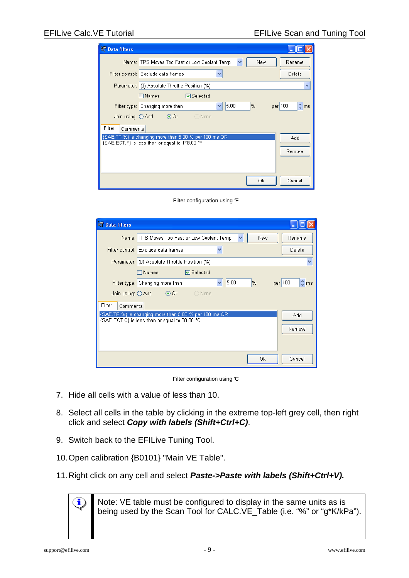| Data filters               |                                                                                                                  |
|----------------------------|------------------------------------------------------------------------------------------------------------------|
|                            | Y<br>Name: TPS Moves Too Fast or Low Coolant Temp<br>New<br>Rename                                               |
|                            | Filter control: Exclude data frames<br>Delete<br>v                                                               |
|                            | Parameter: (0) Absolute Throttle Position (%)<br>v                                                               |
|                            | <b>▽</b> Selected<br>$\sqcap$ Names                                                                              |
|                            | $\hat{\mathbb{Q}}$ ms<br>5.00<br>per 100<br>Filter type: Changing more than<br>%<br>v                            |
| Join using: $\bigcirc$ And | $\bigcirc$ None<br>$\odot$ Or                                                                                    |
| Filter<br>Comments         |                                                                                                                  |
|                            | {SAE.TP.%} is changing more than 5.00 % per 100 ms OR<br>Add<br>{SAE, ECT, F} is less than or equal to 178,00 °F |
|                            | Remove                                                                                                           |
|                            |                                                                                                                  |
|                            |                                                                                                                  |
|                            | Оk<br>Cancel                                                                                                     |

Filter configuration using F

| Data filters       |                                                                                 |
|--------------------|---------------------------------------------------------------------------------|
|                    | Name: TPS Moves Too Fast or Low Coolant Temp<br>v<br>New<br>Rename              |
|                    | Filter control: Exclude data frames<br>Delete<br>٧                              |
|                    | Parameter: (0) Absolute Throttle Position (%)<br>٧                              |
|                    | <b>▽</b> Selected<br>$\square$ Names                                            |
|                    | 5.00<br>per 100<br>$\hat{L}$ ms<br>$\%$<br>Filter type: Changing more than<br>v |
| Join using: O And  | $\odot$ Or<br>◯ None                                                            |
| Filter<br>Comments |                                                                                 |
|                    | {SAE.TP.%} is changing more than 5.00 % per 100 ms OR<br>Add                    |
|                    | {SAE, ECT, C} is less than or equal to 80,00 °C.<br>Remove                      |
|                    |                                                                                 |
|                    |                                                                                 |
|                    | Оk<br>Cancel                                                                    |

Filter configuration using  $\mathfrak C$ 

- 7. Hide all cells with a value of less than 10.
- 8. Select all cells in the table by clicking in the extreme top-left grey cell, then right click and select **Copy with labels (Shift+Ctrl+C)**.
- 9. Switch back to the EFILive Tuning Tool.
- 10.Open calibration {B0101} "Main VE Table".
- 11.Right click on any cell and select **Paste->Paste with labels (Shift+Ctrl+V).**

Note: VE table must be configured to display in the same units as is being used by the Scan Tool for CALC.VE\_Table (i.e. "%" or "g\*K/kPa").

i.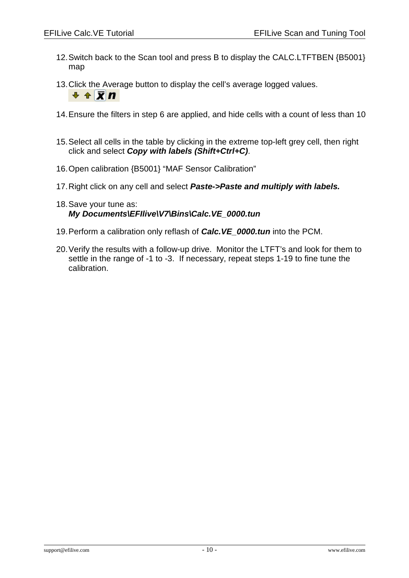- 12.Switch back to the Scan tool and press B to display the CALC.LTFTBEN {B5001} map
- 13.Click the Average button to display the cell's average logged values.  $+ A \times n$
- 14.Ensure the filters in step 6 are applied, and hide cells with a count of less than 10
- 15.Select all cells in the table by clicking in the extreme top-left grey cell, then right click and select **Copy with labels (Shift+Ctrl+C)**.
- 16.Open calibration {B5001} "MAF Sensor Calibration"
- 17.Right click on any cell and select **Paste->Paste and multiply with labels.**
- 18.Save your tune as: **My Documents\EFIlive\V7\Bins\Calc.VE\_0000.tun**
- 19.Perform a calibration only reflash of **Calc.VE\_0000.tun** into the PCM.
- 20.Verify the results with a follow-up drive. Monitor the LTFT's and look for them to settle in the range of -1 to -3. If necessary, repeat steps 1-19 to fine tune the calibration.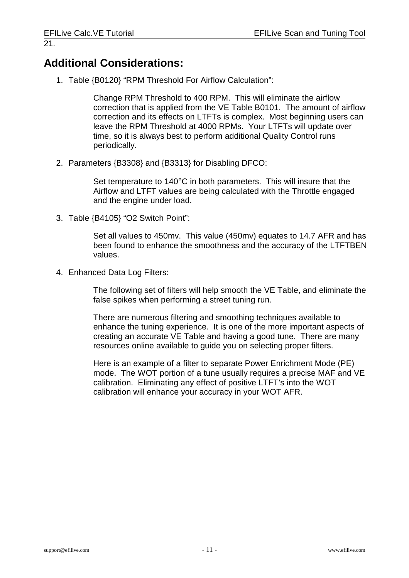### **Additional Considerations:**

1. Table {B0120} "RPM Threshold For Airflow Calculation":

Change RPM Threshold to 400 RPM. This will eliminate the airflow correction that is applied from the VE Table B0101. The amount of airflow correction and its effects on LTFTs is complex. Most beginning users can leave the RPM Threshold at 4000 RPMs. Your LTFTs will update over time, so it is always best to perform additional Quality Control runs periodically.

2. Parameters {B3308} and {B3313} for Disabling DFCO:

Set temperature to 140°C in both parameters. This will insure that the Airflow and LTFT values are being calculated with the Throttle engaged and the engine under load.

3. Table {B4105} "O2 Switch Point":

Set all values to 450mv. This value (450mv) equates to 14.7 AFR and has been found to enhance the smoothness and the accuracy of the LTFTBEN values.

4. Enhanced Data Log Filters:

The following set of filters will help smooth the VE Table, and eliminate the false spikes when performing a street tuning run.

There are numerous filtering and smoothing techniques available to enhance the tuning experience. It is one of the more important aspects of creating an accurate VE Table and having a good tune. There are many resources online available to guide you on selecting proper filters.

Here is an example of a filter to separate Power Enrichment Mode (PE) mode. The WOT portion of a tune usually requires a precise MAF and VE calibration. Eliminating any effect of positive LTFT's into the WOT calibration will enhance your accuracy in your WOT AFR.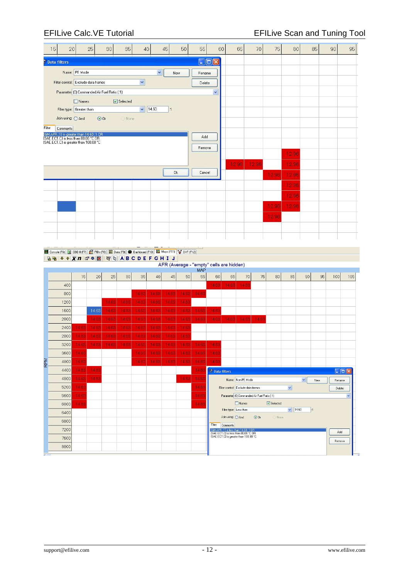### EFILive Calc.VE Tutorial **EFILIVE CALC ACCESS** EFILIVE Scan and Tuning Tool

| 15     | 20                                                                                              |                | 25         | 30             | 35                       | 40             |                | 45             | 50            | 55             | 60                |                                                                                                                     | 65                | 70         | 75       | 80             | 85           |     | 90                | 95                   |
|--------|-------------------------------------------------------------------------------------------------|----------------|------------|----------------|--------------------------|----------------|----------------|----------------|---------------|----------------|-------------------|---------------------------------------------------------------------------------------------------------------------|-------------------|------------|----------|----------------|--------------|-----|-------------------|----------------------|
|        | <b>Data filters</b>                                                                             |                |            |                |                          |                |                |                |               |                | $\Box$ o $\times$ |                                                                                                                     |                   |            |          |                |              |     |                   |                      |
|        |                                                                                                 | Name: PE Mode  |            |                |                          |                | Ÿ              |                | New           | Rename         |                   |                                                                                                                     |                   |            |          |                |              |     |                   |                      |
|        | Filter control: Exclude data frames                                                             |                |            |                |                          | $\checkmark$   |                |                |               | Delete         |                   |                                                                                                                     |                   |            |          |                |              |     |                   |                      |
|        | Parameter (0) Commanded Air Fuel Ratio (:1)                                                     |                |            |                |                          |                |                |                |               |                | $\checkmark$      |                                                                                                                     |                   |            |          |                |              |     |                   |                      |
|        |                                                                                                 | Names          |            |                | $\triangledown$ Selected |                |                |                |               |                |                   |                                                                                                                     |                   |            |          |                |              |     |                   |                      |
|        | Filter type: Greater than                                                                       |                |            |                |                          | $\checkmark$   | 14.60          | $\blacksquare$ |               |                |                   |                                                                                                                     |                   |            |          |                |              |     |                   |                      |
|        | Join using: O And                                                                               |                | $\odot$ Or |                | None                     |                |                |                |               |                |                   |                                                                                                                     |                   |            |          |                |              |     |                   |                      |
| Filter | Comments<br>(GM.AFR.:1) is greater than 14.60 :1 OR                                             |                |            |                |                          |                |                |                |               |                |                   |                                                                                                                     |                   |            |          |                |              |     |                   |                      |
|        | (SAE.ECT.C) is less than 80.00 °C OR<br>{SAE.ECT.C} is greater than 100.00 °C                   |                |            |                |                          |                |                |                |               | Add            |                   |                                                                                                                     |                   |            |          |                |              |     |                   |                      |
|        |                                                                                                 |                |            |                |                          |                |                |                |               | Remove         |                   |                                                                                                                     |                   |            |          | 12.96          |              |     |                   |                      |
|        |                                                                                                 |                |            |                |                          |                |                |                |               |                |                   | 1296                                                                                                                |                   | 12.96      |          | 12.96          |              |     |                   |                      |
|        |                                                                                                 |                |            |                |                          |                |                | Ok             |               | Cancel         |                   |                                                                                                                     |                   |            | 12.96    | 1296           |              |     |                   |                      |
|        |                                                                                                 |                |            |                |                          |                |                |                |               |                |                   |                                                                                                                     |                   |            |          |                |              |     |                   |                      |
|        |                                                                                                 |                |            |                |                          |                |                |                |               |                |                   |                                                                                                                     |                   |            |          | 12.96          |              |     |                   |                      |
|        |                                                                                                 |                |            |                |                          |                |                |                |               |                |                   |                                                                                                                     |                   |            |          | 12.96          |              |     |                   |                      |
|        |                                                                                                 |                |            |                |                          |                |                |                |               |                |                   |                                                                                                                     |                   |            | 12.96    | 12.96          |              |     |                   |                      |
|        |                                                                                                 |                |            |                |                          |                |                |                |               |                |                   |                                                                                                                     |                   |            | 12.96    |                |              |     |                   |                      |
|        |                                                                                                 |                |            |                |                          |                |                |                |               |                |                   |                                                                                                                     |                   |            |          |                |              |     |                   |                      |
|        |                                                                                                 |                |            |                |                          |                |                |                |               |                |                   |                                                                                                                     |                   |            |          |                |              |     |                   |                      |
|        | 图 Console (F6) 图 0BD II (F7) 图 PIDs (F8) 图 Data (F9) @ Dashboard (F10) 图 Maps (F11) V DVT (F12) |                |            |                |                          |                |                |                |               |                |                   |                                                                                                                     |                   |            |          |                |              |     |                   |                      |
|        | <b>BB++ Xn 配参図 图 ABCDEF GHIJ</b>                                                                |                |            |                |                          |                |                |                |               |                |                   |                                                                                                                     |                   |            |          |                |              |     |                   |                      |
|        |                                                                                                 |                |            |                |                          |                |                |                |               | <b>MAP</b>     |                   | AFR (Average - "empty" cells are hidden)                                                                            |                   |            |          |                |              |     |                   |                      |
|        |                                                                                                 | 15             | 20         | 25             | 30                       | 35             | 40             | 45             | 50            | 55             | 60                | 65                                                                                                                  | 70                | 75         | 80       | 85             | 90           | 95  | 100               | 105                  |
|        | 400                                                                                             |                |            |                |                          |                |                |                |               |                | 14.63             | 14 63                                                                                                               | <b>14.63</b>      |            |          |                |              |     |                   |                      |
|        | 800                                                                                             |                |            |                | 14.6                     | 14.63          | 14.63          | 14.63          | 14.6          | 14.63          |                   |                                                                                                                     |                   |            |          |                |              |     |                   |                      |
|        | 1200<br>1600                                                                                    |                | 14.63      | 14.63<br>14.63 | 14.83                    | 14.63<br>14.63 | 14.65<br>14.63 | 14.65<br>14.63 | 14.6<br>14.83 | 14.63          | 14.83             |                                                                                                                     |                   |            |          |                |              |     |                   |                      |
|        | 2000                                                                                            |                | 14.68      | 14 63          | 14.63                    | 14.68          | <b>14.63</b>   | 1463           | 14.65         | 1468           |                   |                                                                                                                     |                   |            |          |                |              |     |                   |                      |
|        | 2400                                                                                            | 14.63          | 14.63      | 14.63          |                          |                |                |                |               |                |                   |                                                                                                                     |                   |            |          |                |              |     |                   |                      |
|        | 2800                                                                                            |                |            |                | 14.63                    | 14.68          | 14.63          | 14.63          | 14.63         |                | 14.68             | 1468                                                                                                                | 14.63             | 14.68      |          |                |              |     |                   |                      |
|        |                                                                                                 | 14.63          | 14.68      | 14 63          | 14.63                    | 14.63          | 14.68          | 14.63          | 14.68         |                |                   |                                                                                                                     |                   |            |          |                |              |     |                   |                      |
|        | 3200                                                                                            | 1483           | 74.63      | 14.63          | 14.63                    | 14 8 3         | 14.63          | 14.63          | 14.63         | 1483           | $-14.88$          |                                                                                                                     |                   |            |          |                |              |     |                   |                      |
|        | 3600                                                                                            | 146            |            |                |                          | 1468           | 14.63          | 1463           | 14.63         | 14 68          | 14.63             |                                                                                                                     |                   |            |          |                |              |     |                   |                      |
| RPM    | 4000                                                                                            | 14.63          |            |                |                          | 14.63          | 14.63          | 14.63          | 14.69         | 14.63          | 14.63             |                                                                                                                     |                   |            |          |                |              |     |                   |                      |
|        | 4400                                                                                            | 1463           | 14.65      |                |                          |                |                |                |               | 14.63          | Data filters      |                                                                                                                     |                   |            |          |                |              |     | $\Box$ o $\times$ |                      |
|        | 4800                                                                                            | 14.63          | 14.83      |                |                          |                |                |                | 14.83         | 14.63          |                   |                                                                                                                     | Name: Non-PE Mode |            |          |                | $\checkmark$ | New | Rename            |                      |
|        | 5200                                                                                            | 14.68          |            |                |                          |                |                |                |               | 14.68          |                   | Filter control: Exclude data frames                                                                                 |                   |            |          | $\checkmark$   |              |     | Delete            |                      |
|        | 5600<br>6000                                                                                    | 14.61<br>14.63 |            |                |                          |                |                |                |               | 14.69<br>14.63 |                   | Parameter (0) Commanded Air Fuel Ratio (:1)                                                                         | Names             |            | Selected |                |              |     |                   | $\ddot{\phantom{1}}$ |
|        | 6400                                                                                            |                |            |                |                          |                |                |                |               |                |                   | Filter type: Less than                                                                                              |                   |            |          | $\times$ 14.60 | .1           |     |                   |                      |
|        | 6800                                                                                            |                |            |                |                          |                |                |                |               |                |                   | Join using: O And                                                                                                   |                   | $\odot$ Or | None     |                |              |     |                   |                      |
|        | 7200                                                                                            |                |            |                |                          |                |                |                |               |                | Filter            | Comments                                                                                                            |                   |            |          |                |              |     | Add               |                      |
|        | 7600                                                                                            |                |            |                |                          |                |                |                |               |                |                   | {GM AFR:1} is less than 14:60:1 OR<br>{SAE ECT.C} is less than 80.00 °C OR<br>{SAE ECT.C} is greater than 100.00 °C |                   |            |          |                |              |     | Remove            |                      |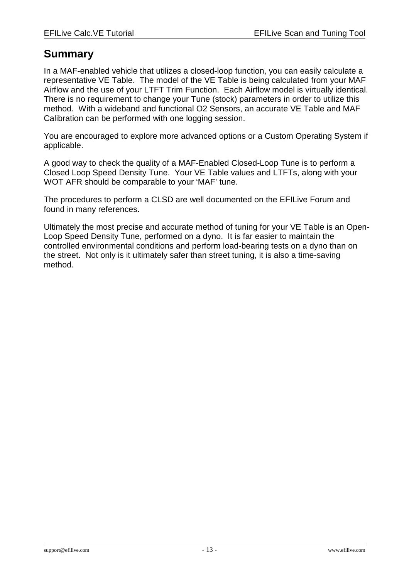### **Summary**

In a MAF-enabled vehicle that utilizes a closed-loop function, you can easily calculate a representative VE Table. The model of the VE Table is being calculated from your MAF Airflow and the use of your LTFT Trim Function. Each Airflow model is virtually identical. There is no requirement to change your Tune (stock) parameters in order to utilize this method. With a wideband and functional O2 Sensors, an accurate VE Table and MAF Calibration can be performed with one logging session.

You are encouraged to explore more advanced options or a Custom Operating System if applicable.

A good way to check the quality of a MAF-Enabled Closed-Loop Tune is to perform a Closed Loop Speed Density Tune. Your VE Table values and LTFTs, along with your WOT AFR should be comparable to your 'MAF' tune.

The procedures to perform a CLSD are well documented on the EFILive Forum and found in many references.

Ultimately the most precise and accurate method of tuning for your VE Table is an Open-Loop Speed Density Tune, performed on a dyno. It is far easier to maintain the controlled environmental conditions and perform load-bearing tests on a dyno than on the street. Not only is it ultimately safer than street tuning, it is also a time-saving method.